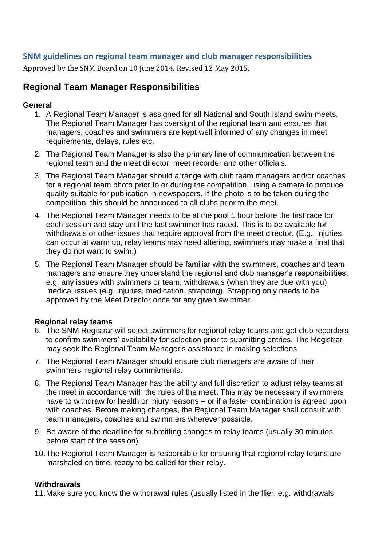## **SNM guidelines on regional team manager and club manager responsibilities**

Approved by the SNM Board on 10 June 2014. Revised 12 May 2015.

## **Regional Team Manager Responsibilities**

#### **General**

- 1. A Regional Team Manager is assigned for all National and South Island swim meets. The Regional Team Manager has oversight of the regional team and ensures that managers, coaches and swimmers are kept well informed of any changes in meet requirements, delays, rules etc.
- 2. The Regional Team Manager is also the primary line of communication between the regional team and the meet director, meet recorder and other officials.
- 3. The Regional Team Manager should arrange with club team managers and/or coaches for a regional team photo prior to or during the competition, using a camera to produce quality suitable for publication in newspapers. If the photo is to be taken during the competition, this should be announced to all clubs prior to the meet.
- 4. The Regional Team Manager needs to be at the pool 1 hour before the first race for each session and stay until the last swimmer has raced. This is to be available for withdrawals or other issues that require approval from the meet director. (E.g., injuries can occur at warm up, relay teams may need altering, swimmers may make a final that they do not want to swim.)
- 5. The Regional Team Manager should be familiar with the swimmers, coaches and team managers and ensure they understand the regional and club manager's responsibilities, e.g. any issues with swimmers or team, withdrawals (when they are due with you), medical issues (e.g. injuries, medication, strapping). Strapping only needs to be approved by the Meet Director once for any given swimmer.

#### **Regional relay teams**

- 6. The SNM Registrar will select swimmers for regional relay teams and get club recorders to confirm swimmers' availability for selection prior to submitting entries. The Registrar may seek the Regional Team Manager's assistance in making selections.
- 7. The Regional Team Manager should ensure club managers are aware of their swimmers' regional relay commitments.
- 8. The Regional Team Manager has the ability and full discretion to adjust relay teams at the meet in accordance with the rules of the meet. This may be necessary if swimmers have to withdraw for health or injury reasons – or if a faster combination is agreed upon with coaches. Before making changes, the Regional Team Manager shall consult with team managers, coaches and swimmers wherever possible.
- 9. Be aware of the deadline for submitting changes to relay teams (usually 30 minutes before start of the session).
- 10.The Regional Team Manager is responsible for ensuring that regional relay teams are marshaled on time, ready to be called for their relay.

#### **Withdrawals**

11.Make sure you know the withdrawal rules (usually listed in the flier, e.g. withdrawals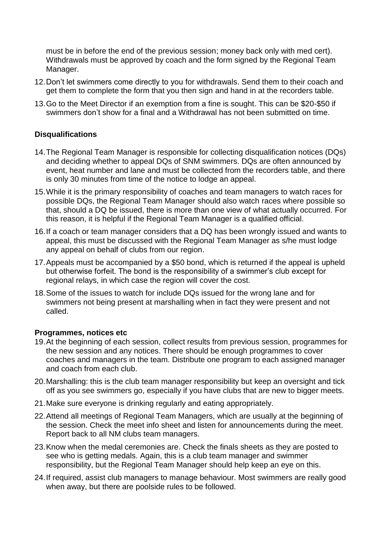must be in before the end of the previous session; money back only with med cert). Withdrawals must be approved by coach and the form signed by the Regional Team Manager.

- 12.Don't let swimmers come directly to you for withdrawals. Send them to their coach and get them to complete the form that you then sign and hand in at the recorders table.
- 13.Go to the Meet Director if an exemption from a fine is sought. This can be \$20-\$50 if swimmers don't show for a final and a Withdrawal has not been submitted on time.

#### **Disqualifications**

- 14.The Regional Team Manager is responsible for collecting disqualification notices (DQs) and deciding whether to appeal DQs of SNM swimmers. DQs are often announced by event, heat number and lane and must be collected from the recorders table, and there is only 30 minutes from time of the notice to lodge an appeal.
- 15.While it is the primary responsibility of coaches and team managers to watch races for possible DQs, the Regional Team Manager should also watch races where possible so that, should a DQ be issued, there is more than one view of what actually occurred. For this reason, it is helpful if the Regional Team Manager is a qualified official.
- 16.If a coach or team manager considers that a DQ has been wrongly issued and wants to appeal, this must be discussed with the Regional Team Manager as s/he must lodge any appeal on behalf of clubs from our region.
- 17.Appeals must be accompanied by a \$50 bond, which is returned if the appeal is upheld but otherwise forfeit. The bond is the responsibility of a swimmer's club except for regional relays, in which case the region will cover the cost.
- 18.Some of the issues to watch for include DQs issued for the wrong lane and for swimmers not being present at marshalling when in fact they were present and not called.

#### **Programmes, notices etc**

- 19.At the beginning of each session, collect results from previous session, programmes for the new session and any notices. There should be enough programmes to cover coaches and managers in the team. Distribute one program to each assigned manager and coach from each club.
- 20.Marshalling: this is the club team manager responsibility but keep an oversight and tick off as you see swimmers go, especially if you have clubs that are new to bigger meets.
- 21.Make sure everyone is drinking regularly and eating appropriately.
- 22.Attend all meetings of Regional Team Managers, which are usually at the beginning of the session. Check the meet info sheet and listen for announcements during the meet. Report back to all NM clubs team managers.
- 23.Know when the medal ceremonies are. Check the finals sheets as they are posted to see who is getting medals. Again, this is a club team manager and swimmer responsibility, but the Regional Team Manager should help keep an eye on this.
- 24.If required, assist club managers to manage behaviour. Most swimmers are really good when away, but there are poolside rules to be followed.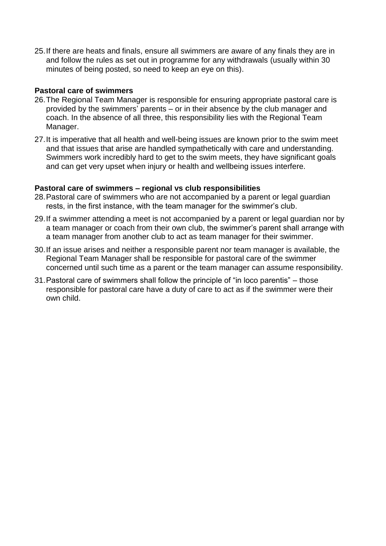25.If there are heats and finals, ensure all swimmers are aware of any finals they are in and follow the rules as set out in programme for any withdrawals (usually within 30 minutes of being posted, so need to keep an eye on this).

#### **Pastoral care of swimmers**

- 26.The Regional Team Manager is responsible for ensuring appropriate pastoral care is provided by the swimmers' parents – or in their absence by the club manager and coach. In the absence of all three, this responsibility lies with the Regional Team Manager.
- 27.It is imperative that all health and well-being issues are known prior to the swim meet and that issues that arise are handled sympathetically with care and understanding. Swimmers work incredibly hard to get to the swim meets, they have significant goals and can get very upset when injury or health and wellbeing issues interfere.

#### **Pastoral care of swimmers – regional vs club responsibilities**

- 28.Pastoral care of swimmers who are not accompanied by a parent or legal guardian rests, in the first instance, with the team manager for the swimmer's club.
- 29.If a swimmer attending a meet is not accompanied by a parent or legal guardian nor by a team manager or coach from their own club, the swimmer's parent shall arrange with a team manager from another club to act as team manager for their swimmer.
- 30.If an issue arises and neither a responsible parent nor team manager is available, the Regional Team Manager shall be responsible for pastoral care of the swimmer concerned until such time as a parent or the team manager can assume responsibility.
- 31.Pastoral care of swimmers shall follow the principle of "in loco parentis" those responsible for pastoral care have a duty of care to act as if the swimmer were their own child.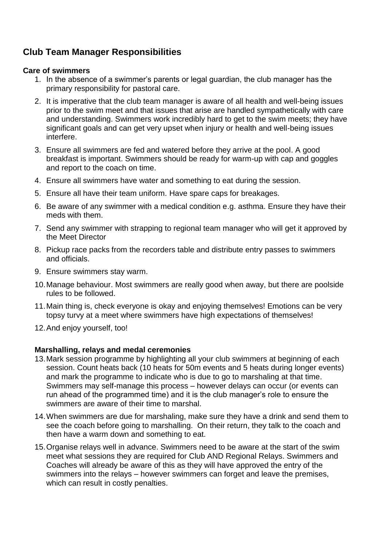# **Club Team Manager Responsibilities**

#### **Care of swimmers**

- 1. In the absence of a swimmer's parents or legal guardian, the club manager has the primary responsibility for pastoral care.
- 2. It is imperative that the club team manager is aware of all health and well-being issues prior to the swim meet and that issues that arise are handled sympathetically with care and understanding. Swimmers work incredibly hard to get to the swim meets; they have significant goals and can get very upset when injury or health and well-being issues interfere.
- 3. Ensure all swimmers are fed and watered before they arrive at the pool. A good breakfast is important. Swimmers should be ready for warm-up with cap and goggles and report to the coach on time.
- 4. Ensure all swimmers have water and something to eat during the session.
- 5. Ensure all have their team uniform. Have spare caps for breakages.
- 6. Be aware of any swimmer with a medical condition e.g. asthma. Ensure they have their meds with them.
- 7. Send any swimmer with strapping to regional team manager who will get it approved by the Meet Director
- 8. Pickup race packs from the recorders table and distribute entry passes to swimmers and officials.
- 9. Ensure swimmers stay warm.
- 10.Manage behaviour. Most swimmers are really good when away, but there are poolside rules to be followed.
- 11.Main thing is, check everyone is okay and enjoying themselves! Emotions can be very topsy turvy at a meet where swimmers have high expectations of themselves!
- 12.And enjoy yourself, too!

### **Marshalling, relays and medal ceremonies**

- 13.Mark session programme by highlighting all your club swimmers at beginning of each session. Count heats back (10 heats for 50m events and 5 heats during longer events) and mark the programme to indicate who is due to go to marshaling at that time. Swimmers may self-manage this process – however delays can occur (or events can run ahead of the programmed time) and it is the club manager's role to ensure the swimmers are aware of their time to marshal.
- 14.When swimmers are due for marshaling, make sure they have a drink and send them to see the coach before going to marshalling. On their return, they talk to the coach and then have a warm down and something to eat.
- 15.Organise relays well in advance. Swimmers need to be aware at the start of the swim meet what sessions they are required for Club AND Regional Relays. Swimmers and Coaches will already be aware of this as they will have approved the entry of the swimmers into the relays – however swimmers can forget and leave the premises, which can result in costly penalties.